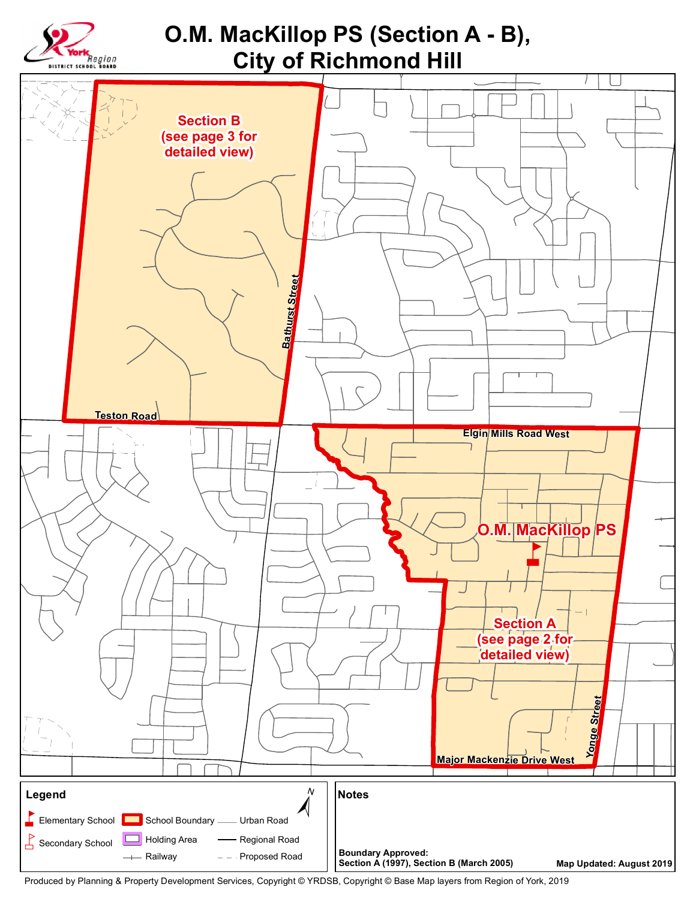

Produced by Planning & Property Development Services, Copyright © YRDSB, Copyright © Base Map layers from Region of York, 2019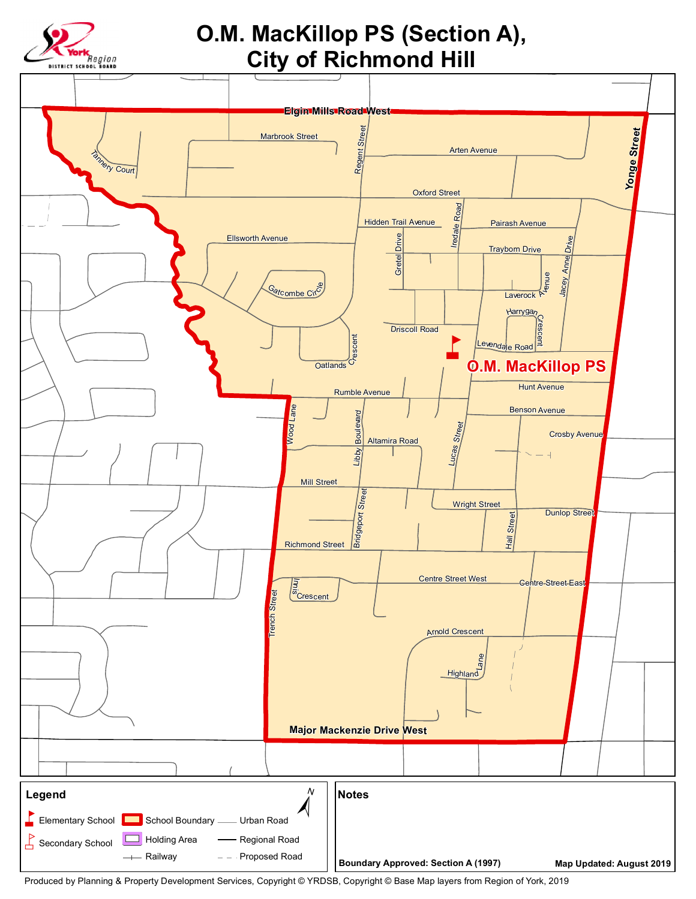

## O.M. MacKillop PS (Section A), **City of Richmond Hill**



Produced by Planning & Property Development Services, Copyright © YRDSB, Copyright © Base Map layers from Region of York, 2019